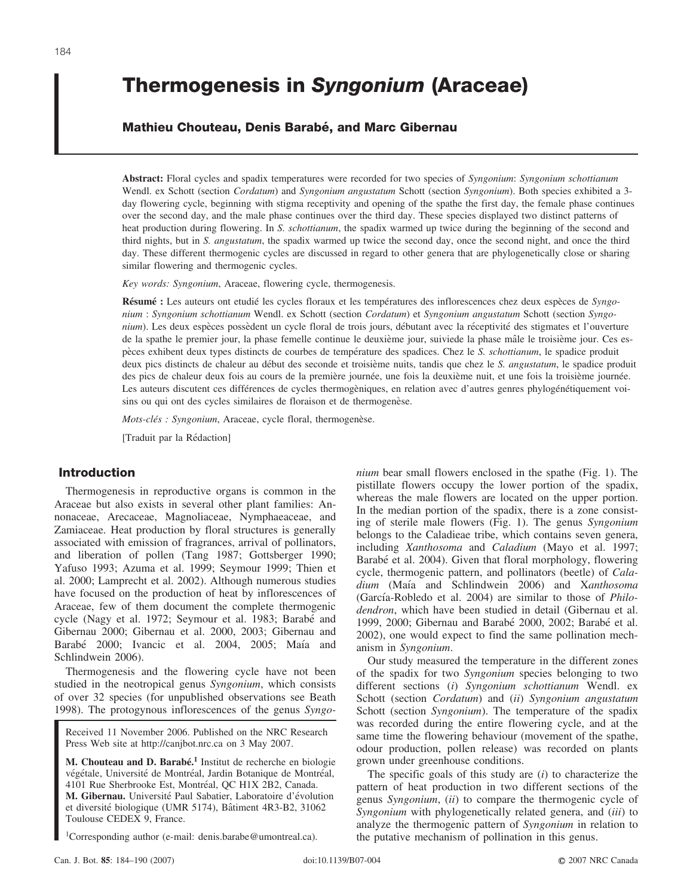# **Thermogenesis in** *Syngonium* **(Araceae)**

## **Mathieu Chouteau, Denis Barabe´, and Marc Gibernau**

**Abstract:** Floral cycles and spadix temperatures were recorded for two species of *Syngonium*: *Syngonium schottianum* Wendl. ex Schott (section *Cordatum*) and *Syngonium angustatum* Schott (section *Syngonium*). Both species exhibited a 3 day flowering cycle, beginning with stigma receptivity and opening of the spathe the first day, the female phase continues over the second day, and the male phase continues over the third day. These species displayed two distinct patterns of heat production during flowering. In *S. schottianum*, the spadix warmed up twice during the beginning of the second and third nights, but in *S. angustatum*, the spadix warmed up twice the second day, once the second night, and once the third day. These different thermogenic cycles are discussed in regard to other genera that are phylogenetically close or sharing similar flowering and thermogenic cycles.

*Key words: Syngonium*, Araceae, flowering cycle, thermogenesis.

**Résumé :** Les auteurs ont etudié les cycles floraux et les températures des inflorescences chez deux espèces de *Syngonium* : *Syngonium schottianum* Wendl. ex Schott (section *Cordatum*) et *Syngonium angustatum* Schott (section *Syngonium*). Les deux espèces possèdent un cycle floral de trois jours, débutant avec la réceptivité des stigmates et l'ouverture de la spathe le premier jour, la phase femelle continue le deuxième jour, suiviede la phase mâle le troisième jour. Ces espe`ces exhibent deux types distincts de courbes de tempe´rature des spadices. Chez le *S. schottianum*, le spadice produit deux pics distincts de chaleur au début des seconde et troisième nuits, tandis que chez le *S. angustatum*, le spadice produit des pics de chaleur deux fois au cours de la première journée, une fois la deuxième nuit, et une fois la troisième journée. Les auteurs discutent ces différences de cycles thermogèniques, en relation avec d'autres genres phylogénétiquement voisins ou qui ont des cycles similaires de floraison et de thermogenèse.

*Mots-clés : Syngonium*, Araceae, cycle floral, thermogenèse.

[Traduit par la Rédaction]

# **Introduction**

Thermogenesis in reproductive organs is common in the Araceae but also exists in several other plant families: Annonaceae, Arecaceae, Magnoliaceae, Nymphaeaceae, and Zamiaceae. Heat production by floral structures is generally associated with emission of fragrances, arrival of pollinators, and liberation of pollen (Tang 1987; Gottsberger 1990; Yafuso 1993; Azuma et al. 1999; Seymour 1999; Thien et al. 2000; Lamprecht et al. 2002). Although numerous studies have focused on the production of heat by inflorescences of Araceae, few of them document the complete thermogenic cycle (Nagy et al. 1972; Seymour et al. 1983; Barabé and Gibernau 2000; Gibernau et al. 2000, 2003; Gibernau and Barabé 2000; Ivancic et al. 2004, 2005; Maía and Schlindwein 2006).

Thermogenesis and the flowering cycle have not been studied in the neotropical genus *Syngonium*, which consists of over 32 species (for unpublished observations see Beath 1998). The protogynous inflorescences of the genus *Syngo-*

Received 11 November 2006. Published on the NRC Research Press Web site at http://canjbot.nrc.ca on 3 May 2007.

M. Chouteau and D. Barabé.<sup>1</sup> Institut de recherche en biologie végétale, Université de Montréal, Jardin Botanique de Montréal, 4101 Rue Sherbrooke Est, Montréal, QC H1X 2B2, Canada. M. Gibernau. Université Paul Sabatier, Laboratoire d'évolution et diversité biologique (UMR 5174), Bâtiment 4R3-B2, 31062 Toulouse CEDEX 9, France.

1Corresponding author (e-mail: denis.barabe@umontreal.ca).

*nium* bear small flowers enclosed in the spathe (Fig. 1). The pistillate flowers occupy the lower portion of the spadix, whereas the male flowers are located on the upper portion. In the median portion of the spadix, there is a zone consisting of sterile male flowers (Fig. 1). The genus *Syngonium* belongs to the Caladieae tribe, which contains seven genera, including *Xanthosoma* and *Caladium* (Mayo et al. 1997; Barabé et al. 2004). Given that floral morphology, flowering cycle, thermogenic pattern, and pollinators (beetle) of *Caladium* (Maı´a and Schlindwein 2006) and X*anthosoma* (García-Robledo et al. 2004) are similar to those of *Philodendron*, which have been studied in detail (Gibernau et al. 1999, 2000; Gibernau and Barabé 2000, 2002; Barabé et al. 2002), one would expect to find the same pollination mechanism in *Syngonium*.

Our study measured the temperature in the different zones of the spadix for two *Syngonium* species belonging to two different sections (*i*) *Syngonium schottianum* Wendl. ex Schott (section *Cordatum*) and (*ii*) *Syngonium angustatum* Schott (section *Syngonium*). The temperature of the spadix was recorded during the entire flowering cycle, and at the same time the flowering behaviour (movement of the spathe, odour production, pollen release) was recorded on plants grown under greenhouse conditions.

The specific goals of this study are (*i*) to characterize the pattern of heat production in two different sections of the genus *Syngonium*, (*ii*) to compare the thermogenic cycle of *Syngonium* with phylogenetically related genera, and (*iii*) to analyze the thermogenic pattern of *Syngonium* in relation to the putative mechanism of pollination in this genus.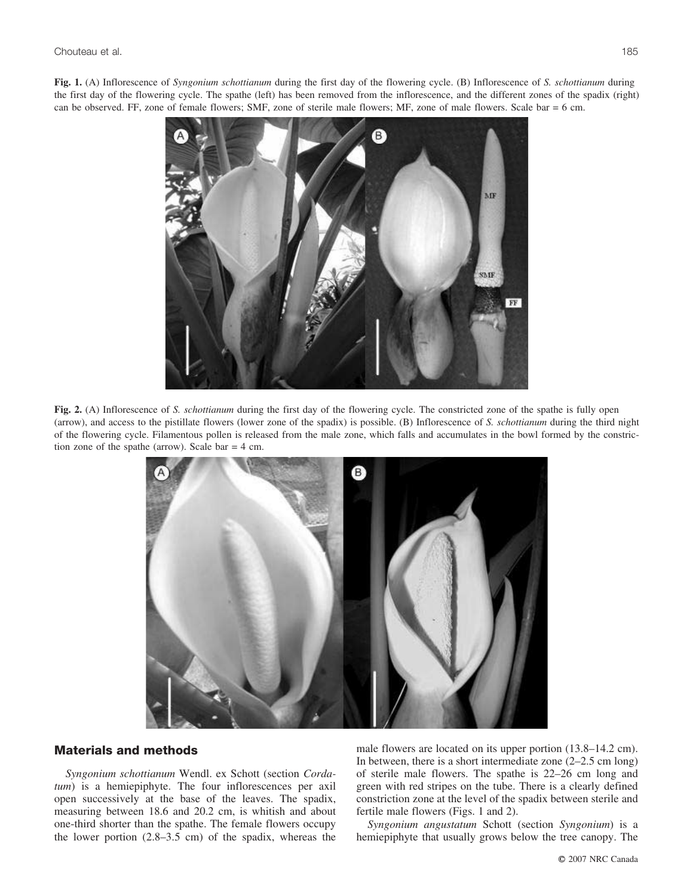**Fig. 1.** (A) Inflorescence of *Syngonium schottianum* during the first day of the flowering cycle. (B) Inflorescence of *S. schottianum* during the first day of the flowering cycle. The spathe (left) has been removed from the inflorescence, and the different zones of the spadix (right) can be observed. FF, zone of female flowers; SMF, zone of sterile male flowers; MF, zone of male flowers. Scale bar = 6 cm.



**Fig. 2.** (A) Inflorescence of *S. schottianum* during the first day of the flowering cycle. The constricted zone of the spathe is fully open (arrow), and access to the pistillate flowers (lower zone of the spadix) is possible. (B) Inflorescence of *S. schottianum* during the third night of the flowering cycle. Filamentous pollen is released from the male zone, which falls and accumulates in the bowl formed by the constriction zone of the spathe (arrow). Scale bar = 4 cm.



# **Materials and methods**

*Syngonium schottianum* Wendl. ex Schott (section *Cordatum*) is a hemiepiphyte. The four inflorescences per axil open successively at the base of the leaves. The spadix, measuring between 18.6 and 20.2 cm, is whitish and about one-third shorter than the spathe. The female flowers occupy the lower portion (2.8–3.5 cm) of the spadix, whereas the male flowers are located on its upper portion (13.8–14.2 cm). In between, there is a short intermediate zone (2–2.5 cm long) of sterile male flowers. The spathe is 22–26 cm long and green with red stripes on the tube. There is a clearly defined constriction zone at the level of the spadix between sterile and fertile male flowers (Figs. 1 and 2).

*Syngonium angustatum* Schott (section *Syngonium*) is a hemiepiphyte that usually grows below the tree canopy. The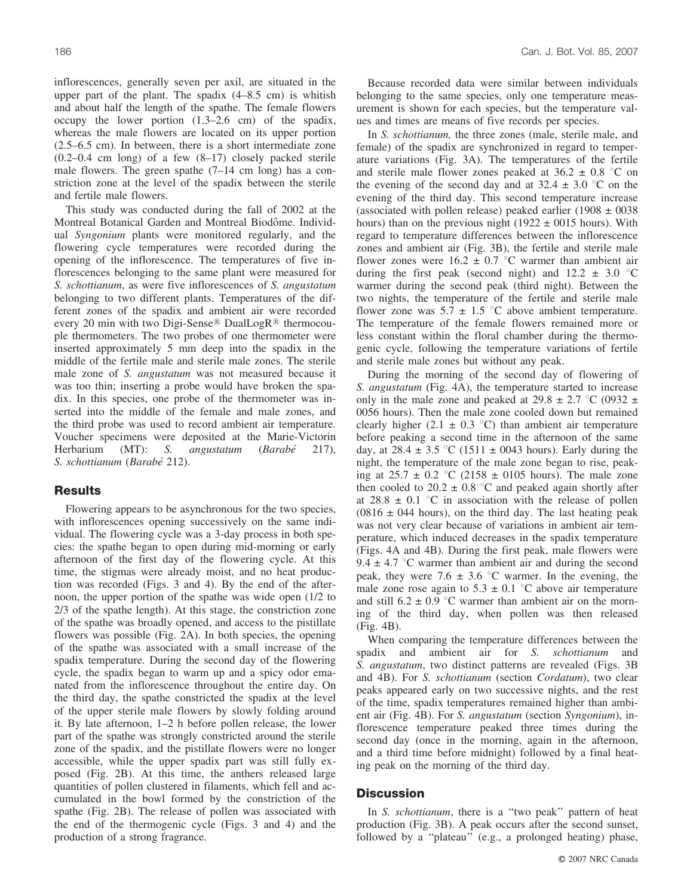inflorescences, generally seven per axil, are situated in the upper part of the plant. The spadix (4–8.5 cm) is whitish and about half the length of the spathe. The female flowers occupy the lower portion (1.3–2.6 cm) of the spadix, whereas the male flowers are located on its upper portion (2.5–6.5 cm). In between, there is a short intermediate zone  $(0.2-0.4 \text{ cm} \text{ long})$  of a few  $(8-17)$  closely packed sterile male flowers. The green spathe (7–14 cm long) has a constriction zone at the level of the spadix between the sterile and fertile male flowers.

This study was conducted during the fall of 2002 at the Montreal Botanical Garden and Montreal Biodôme. Individual *Syngonium* plants were monitored regularly, and the flowering cycle temperatures were recorded during the opening of the inflorescence. The temperatures of five inflorescences belonging to the same plant were measured for *S. schottianum*, as were five inflorescences of *S. angustatum* belonging to two different plants. Temperatures of the different zones of the spadix and ambient air were recorded every 20 min with two Digi-Sense<sup>®</sup> DualLogR<sup>®</sup> thermocouple thermometers. The two probes of one thermometer were inserted approximately 5 mm deep into the spadix in the middle of the fertile male and sterile male zones. The sterile male zone of *S. angustatum* was not measured because it was too thin; inserting a probe would have broken the spadix. In this species, one probe of the thermometer was inserted into the middle of the female and male zones, and the third probe was used to record ambient air temperature. Voucher specimens were deposited at the Marie-Victorin Herbarium (MT): *S. angustatum* (*Barabe´* 217), *S. schottianum* (*Barabe´* 212).

### **Results**

Flowering appears to be asynchronous for the two species, with inflorescences opening successively on the same individual. The flowering cycle was a 3-day process in both species: the spathe began to open during mid-morning or early afternoon of the first day of the flowering cycle. At this time, the stigmas were already moist, and no heat production was recorded (Figs. 3 and 4). By the end of the afternoon, the upper portion of the spathe was wide open (1/2 to 2/3 of the spathe length). At this stage, the constriction zone of the spathe was broadly opened, and access to the pistillate flowers was possible (Fig. 2A). In both species, the opening of the spathe was associated with a small increase of the spadix temperature. During the second day of the flowering cycle, the spadix began to warm up and a spicy odor emanated from the inflorescence throughout the entire day. On the third day, the spathe constricted the spadix at the level of the upper sterile male flowers by slowly folding around it. By late afternoon, 1–2 h before pollen release, the lower part of the spathe was strongly constricted around the sterile zone of the spadix, and the pistillate flowers were no longer accessible, while the upper spadix part was still fully exposed (Fig. 2B). At this time, the anthers released large quantities of pollen clustered in filaments, which fell and accumulated in the bowl formed by the constriction of the spathe (Fig. 2B). The release of pollen was associated with the end of the thermogenic cycle (Figs. 3 and 4) and the production of a strong fragrance.

Because recorded data were similar between individuals belonging to the same species, only one temperature measurement is shown for each species, but the temperature values and times are means of five records per species.

In *S. schottianum,* the three zones (male, sterile male, and female) of the spadix are synchronized in regard to temperature variations (Fig. 3A). The temperatures of the fertile and sterile male flower zones peaked at  $36.2 \pm 0.8$  °C on the evening of the second day and at  $32.4 \pm 3.0$  °C on the evening of the third day. This second temperature increase (associated with pollen release) peaked earlier (1908  $\pm$  0038 hours) than on the previous night (1922  $\pm$  0015 hours). With regard to temperature differences between the inflorescence zones and ambient air (Fig. 3B), the fertile and sterile male flower zones were  $16.2 \pm 0.7$  °C warmer than ambient air during the first peak (second night) and  $12.2 \pm 3.0$  °C warmer during the second peak (third night). Between the two nights, the temperature of the fertile and sterile male flower zone was  $5.7 \pm 1.5$  °C above ambient temperature. The temperature of the female flowers remained more or less constant within the floral chamber during the thermogenic cycle, following the temperature variations of fertile and sterile male zones but without any peak.

During the morning of the second day of flowering of *S. angustatum* (Fig. 4A), the temperature started to increase only in the male zone and peaked at  $29.8 \pm 2.7$  °C (0932  $\pm$ ) 0056 hours). Then the male zone cooled down but remained clearly higher (2.1  $\pm$  0.3 °C) than ambient air temperature before peaking a second time in the afternoon of the same day, at  $28.4 \pm 3.5$  °C (1511  $\pm$  0043 hours). Early during the night, the temperature of the male zone began to rise, peaking at  $25.7 \pm 0.2$  °C (2158  $\pm$  0105 hours). The male zone then cooled to  $20.2 \pm 0.8$  °C and peaked again shortly after at  $28.8 \pm 0.1$  °C in association with the release of pollen  $(0816 \pm 044$  hours), on the third day. The last heating peak was not very clear because of variations in ambient air temperature, which induced decreases in the spadix temperature (Figs. 4A and 4B). During the first peak, male flowers were 9.4  $\pm$  4.7 °C warmer than ambient air and during the second peak, they were 7.6  $\pm$  3.6 °C warmer. In the evening, the male zone rose again to  $5.3 \pm 0.1$  °C above air temperature and still  $6.2 \pm 0.9$  °C warmer than ambient air on the morning of the third day, when pollen was then released (Fig. 4B).

When comparing the temperature differences between the spadix and ambient air for *S. schottianum* and *S. angustatum*, two distinct patterns are revealed (Figs. 3B and 4B). For *S. schottianum* (section *Cordatum*), two clear peaks appeared early on two successive nights, and the rest of the time, spadix temperatures remained higher than ambient air (Fig. 4B). For *S. angustatum* (section *Syngonium*), inflorescence temperature peaked three times during the second day (once in the morning, again in the afternoon, and a third time before midnight) followed by a final heating peak on the morning of the third day.

#### **Discussion**

In *S. schottianum*, there is a "two peak" pattern of heat production (Fig. 3B). A peak occurs after the second sunset, followed by a ''plateau'' (e.g., a prolonged heating) phase,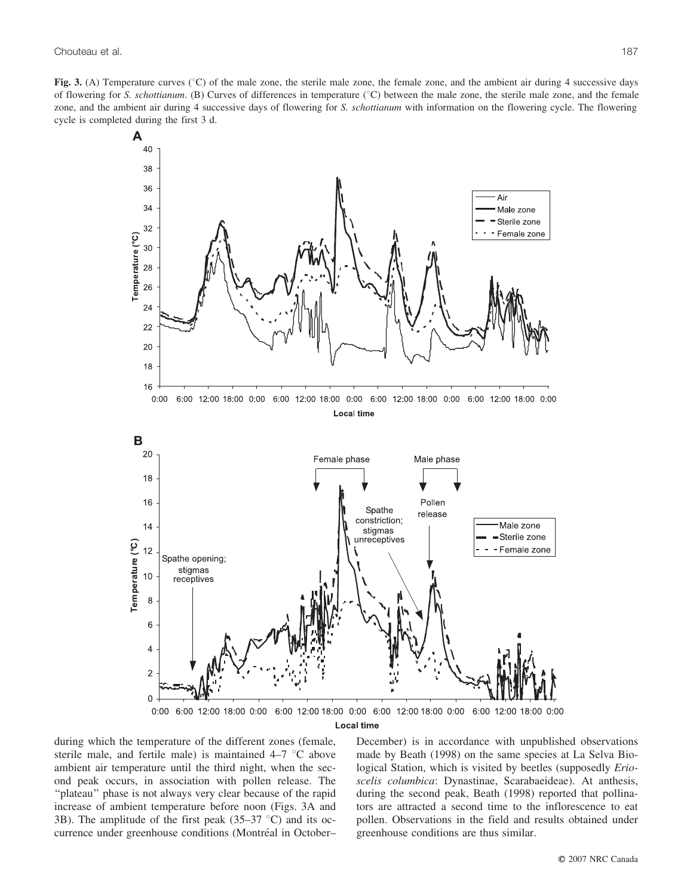**Fig. 3.** (A) Temperature curves (°C) of the male zone, the sterile male zone, the female zone, and the ambient air during 4 successive days of flowering for *S. schottianum*. (B) Curves of differences in temperature ( $\degree$ C) between the male zone, the sterile male zone, and the female zone, and the ambient air during 4 successive days of flowering for *S. schottianum* with information on the flowering cycle. The flowering cycle is completed during the first 3 d.



during which the temperature of the different zones (female, sterile male, and fertile male) is maintained  $4-7$  °C above ambient air temperature until the third night, when the second peak occurs, in association with pollen release. The "plateau" phase is not always very clear because of the rapid increase of ambient temperature before noon (Figs. 3A and 3B). The amplitude of the first peak  $(35-37 \degree C)$  and its occurrence under greenhouse conditions (Montréal in October– December) is in accordance with unpublished observations made by Beath (1998) on the same species at La Selva Biological Station, which is visited by beetles (supposedly *Erioscelis columbica*: Dynastinae, Scarabaeideae). At anthesis, during the second peak, Beath (1998) reported that pollinators are attracted a second time to the inflorescence to eat pollen. Observations in the field and results obtained under greenhouse conditions are thus similar.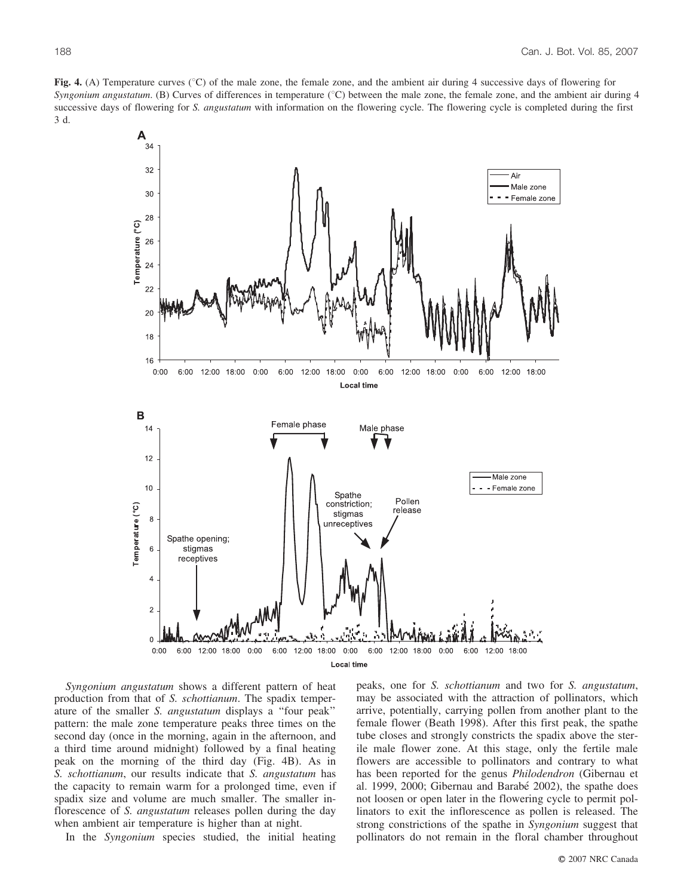**Fig. 4.** (A) Temperature curves (°C) of the male zone, the female zone, and the ambient air during 4 successive days of flowering for *Syngonium angustatum*. (B) Curves of differences in temperature (°C) between the male zone, the female zone, and the ambient air during 4 successive days of flowering for *S. angustatum* with information on the flowering cycle. The flowering cycle is completed during the first 3 d.



*Syngonium angustatum* shows a different pattern of heat production from that of *S. schottianum*. The spadix temperature of the smaller *S. angustatum* displays a ''four peak'' pattern: the male zone temperature peaks three times on the second day (once in the morning, again in the afternoon, and a third time around midnight) followed by a final heating peak on the morning of the third day (Fig. 4B). As in *S. schottianum*, our results indicate that *S. angustatum* has the capacity to remain warm for a prolonged time, even if spadix size and volume are much smaller. The smaller inflorescence of *S. angustatum* releases pollen during the day when ambient air temperature is higher than at night.

In the *Syngonium* species studied, the initial heating

peaks, one for *S. schottianum* and two for *S. angustatum*, may be associated with the attraction of pollinators, which arrive, potentially, carrying pollen from another plant to the female flower (Beath 1998). After this first peak, the spathe tube closes and strongly constricts the spadix above the sterile male flower zone. At this stage, only the fertile male flowers are accessible to pollinators and contrary to what has been reported for the genus *Philodendron* (Gibernau et al. 1999, 2000; Gibernau and Barabé 2002), the spathe does not loosen or open later in the flowering cycle to permit pollinators to exit the inflorescence as pollen is released. The strong constrictions of the spathe in *Syngonium* suggest that pollinators do not remain in the floral chamber throughout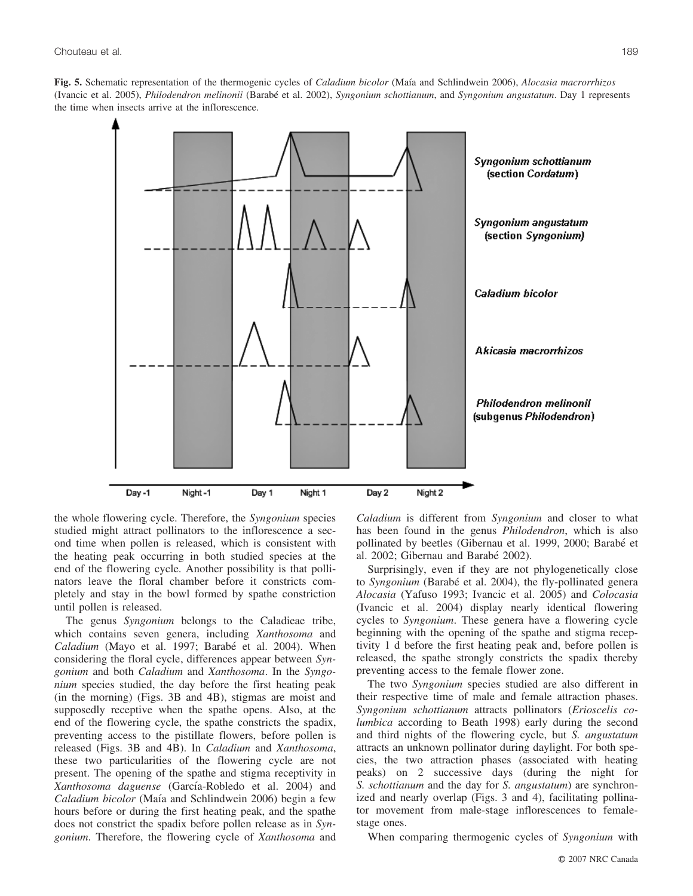**Fig. 5.** Schematic representation of the thermogenic cycles of *Caladium bicolor* (Maı´a and Schlindwein 2006), *Alocasia macrorrhizos* (Ivancic et al. 2005), *Philodendron melinonii* (Barabe´ et al. 2002), *Syngonium schottianum*, and *Syngonium angustatum*. Day 1 represents the time when insects arrive at the inflorescence.



the whole flowering cycle. Therefore, the *Syngonium* species studied might attract pollinators to the inflorescence a second time when pollen is released, which is consistent with the heating peak occurring in both studied species at the end of the flowering cycle. Another possibility is that pollinators leave the floral chamber before it constricts completely and stay in the bowl formed by spathe constriction until pollen is released.

The genus *Syngonium* belongs to the Caladieae tribe, which contains seven genera, including *Xanthosoma* and Caladium (Mayo et al. 1997; Barabé et al. 2004). When considering the floral cycle, differences appear between *Syngonium* and both *Caladium* and *Xanthosoma*. In the *Syngonium* species studied, the day before the first heating peak (in the morning) (Figs. 3B and 4B), stigmas are moist and supposedly receptive when the spathe opens. Also, at the end of the flowering cycle, the spathe constricts the spadix, preventing access to the pistillate flowers, before pollen is released (Figs. 3B and 4B). In *Caladium* and *Xanthosoma*, these two particularities of the flowering cycle are not present. The opening of the spathe and stigma receptivity in Xanthosoma daguense (García-Robledo et al. 2004) and *Caladium bicolor* (Maía and Schlindwein 2006) begin a few hours before or during the first heating peak, and the spathe does not constrict the spadix before pollen release as in *Syngonium*. Therefore, the flowering cycle of *Xanthosoma* and *Caladium* is different from *Syngonium* and closer to what has been found in the genus *Philodendron*, which is also pollinated by beetles (Gibernau et al. 1999, 2000; Barabé et al. 2002; Gibernau and Barabe´ 2002).

Surprisingly, even if they are not phylogenetically close to *Syngonium* (Barabé et al. 2004), the fly-pollinated genera *Alocasia* (Yafuso 1993; Ivancic et al. 2005) and *Colocasia* (Ivancic et al. 2004) display nearly identical flowering cycles to *Syngonium*. These genera have a flowering cycle beginning with the opening of the spathe and stigma receptivity 1 d before the first heating peak and, before pollen is released, the spathe strongly constricts the spadix thereby preventing access to the female flower zone.

The two *Syngonium* species studied are also different in their respective time of male and female attraction phases. *Syngonium schottianum* attracts pollinators (*Erioscelis columbica* according to Beath 1998) early during the second and third nights of the flowering cycle, but *S. angustatum* attracts an unknown pollinator during daylight. For both species, the two attraction phases (associated with heating peaks) on 2 successive days (during the night for *S. schottianum* and the day for *S. angustatum*) are synchronized and nearly overlap (Figs. 3 and 4), facilitating pollinator movement from male-stage inflorescences to femalestage ones.

When comparing thermogenic cycles of *Syngonium* with